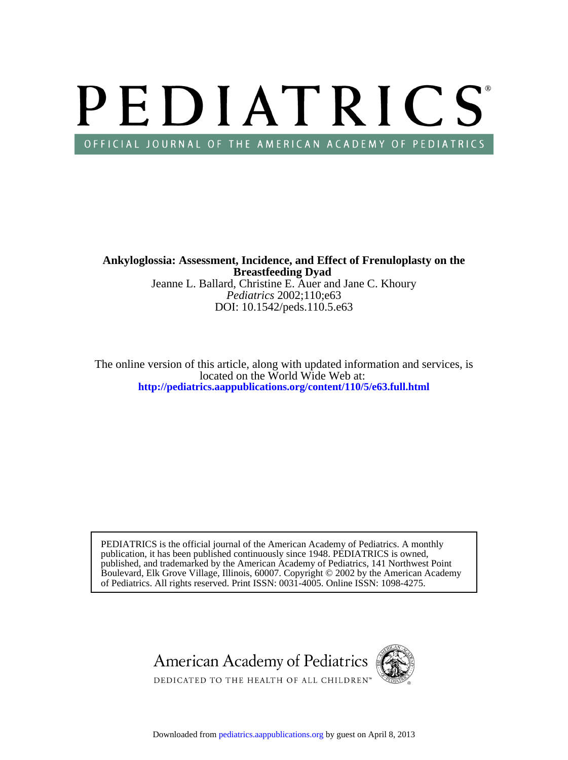# PEDIATRICS OFFICIAL JOURNAL OF THE AMERICAN ACADEMY OF PEDIATRICS

DOI: 10.1542/peds.110.5.e63 *Pediatrics* 2002;110;e63 Jeanne L. Ballard, Christine E. Auer and Jane C. Khoury **Breastfeeding Dyad Ankyloglossia: Assessment, Incidence, and Effect of Frenuloplasty on the**

**<http://pediatrics.aappublications.org/content/110/5/e63.full.html>** located on the World Wide Web at: The online version of this article, along with updated information and services, is

of Pediatrics. All rights reserved. Print ISSN: 0031-4005. Online ISSN: 1098-4275. Boulevard, Elk Grove Village, Illinois, 60007. Copyright © 2002 by the American Academy published, and trademarked by the American Academy of Pediatrics, 141 Northwest Point publication, it has been published continuously since 1948. PEDIATRICS is owned, PEDIATRICS is the official journal of the American Academy of Pediatrics. A monthly



Downloaded from [pediatrics.aappublications.org](http://pediatrics.aappublications.org/) by guest on April 8, 2013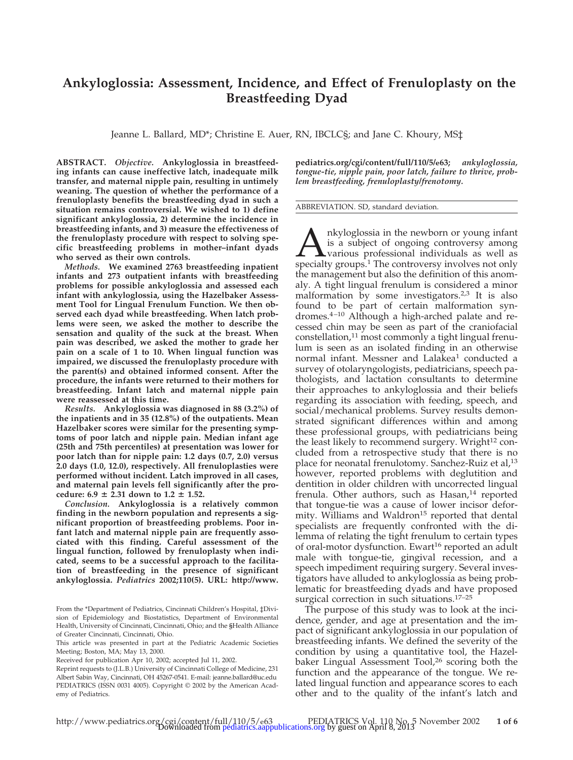## **Ankyloglossia: Assessment, Incidence, and Effect of Frenuloplasty on the Breastfeeding Dyad**

Jeanne L. Ballard, MD\*; Christine E. Auer, RN, IBCLC§; and Jane C. Khoury, MS‡

**ABSTRACT.** *Objective.* **Ankyloglossia in breastfeeding infants can cause ineffective latch, inadequate milk transfer, and maternal nipple pain, resulting in untimely weaning. The question of whether the performance of a frenuloplasty benefits the breastfeeding dyad in such a situation remains controversial. We wished to 1) define significant ankyloglossia, 2) determine the incidence in breastfeeding infants, and 3) measure the effectiveness of the frenuloplasty procedure with respect to solving specific breastfeeding problems in mother–infant dyads who served as their own controls.**

*Methods.* **We examined 2763 breastfeeding inpatient infants and 273 outpatient infants with breastfeeding problems for possible ankyloglossia and assessed each infant with ankyloglossia, using the Hazelbaker Assessment Tool for Lingual Frenulum Function. We then observed each dyad while breastfeeding. When latch problems were seen, we asked the mother to describe the sensation and quality of the suck at the breast. When pain was described, we asked the mother to grade her pain on a scale of 1 to 10. When lingual function was impaired, we discussed the frenuloplasty procedure with the parent(s) and obtained informed consent. After the procedure, the infants were returned to their mothers for breastfeeding. Infant latch and maternal nipple pain were reassessed at this time.**

*Results.* **Ankyloglossia was diagnosed in 88 (3.2%) of the inpatients and in 35 (12.8%) of the outpatients. Mean Hazelbaker scores were similar for the presenting symptoms of poor latch and nipple pain. Median infant age (25th and 75th percentiles) at presentation was lower for poor latch than for nipple pain: 1.2 days (0.7, 2.0) versus 2.0 days (1.0, 12.0), respectively. All frenuloplasties were performed without incident. Latch improved in all cases, and maternal pain levels fell significantly after the pro**cedure:  $6.9 \pm 2.31$  down to  $1.2 \pm 1.52$ .

*Conclusion.* **Ankyloglossia is a relatively common finding in the newborn population and represents a significant proportion of breastfeeding problems. Poor infant latch and maternal nipple pain are frequently associated with this finding. Careful assessment of the lingual function, followed by frenuloplasty when indicated, seems to be a successful approach to the facilitation of breastfeeding in the presence of significant ankyloglossia.** *Pediatrics* **2002;110(5). URL: http://www.**

Received for publication Apr 10, 2002; accepted Jul 11, 2002.

**pediatrics.org/cgi/content/full/110/5/e63;** *ankyloglossia, tongue-tie, nipple pain, poor latch, failure to thrive, problem breastfeeding, frenuloplasty/frenotomy.*

ABBREVIATION. SD, standard deviation.

A nkyloglossia in the newborn or young infant<br>is a subject of ongoing controversy among<br>specialty groups.<sup>1</sup> The controversy involves not only is a subject of ongoing controversy among various professional individuals as well as the management but also the definition of this anomaly. A tight lingual frenulum is considered a minor malformation by some investigators.<sup>2,3</sup> It is also found to be part of certain malformation syndromes.<sup>4-10</sup> Although a high-arched palate and recessed chin may be seen as part of the craniofacial constellation, $11 \text{ most commonly a tight lingual frenu-}$ lum is seen as an isolated finding in an otherwise normal infant. Messner and Lalakea<sup>1</sup> conducted a survey of otolaryngologists, pediatricians, speech pathologists, and lactation consultants to determine their approaches to ankyloglossia and their beliefs regarding its association with feeding, speech, and social/mechanical problems. Survey results demonstrated significant differences within and among these professional groups, with pediatricians being the least likely to recommend surgery. Wright<sup>12</sup> concluded from a retrospective study that there is no place for neonatal frenulotomy. Sanchez-Ruiz et al,<sup>13</sup> however, reported problems with deglutition and dentition in older children with uncorrected lingual frenula. Other authors, such as Hasan,<sup>14</sup> reported that tongue-tie was a cause of lower incisor deformity. Williams and Waldron<sup>15</sup> reported that dental specialists are frequently confronted with the dilemma of relating the tight frenulum to certain types of oral-motor dysfunction. Ewart<sup>16</sup> reported an adult male with tongue-tie, gingival recession, and a speech impediment requiring surgery. Several investigators have alluded to ankyloglossia as being problematic for breastfeeding dyads and have proposed surgical correction in such situations.<sup>17-25</sup>

The purpose of this study was to look at the incidence, gender, and age at presentation and the impact of significant ankyloglossia in our population of breastfeeding infants. We defined the severity of the condition by using a quantitative tool, the Hazelbaker Lingual Assessment Tool,<sup>26</sup> scoring both the function and the appearance of the tongue. We related lingual function and appearance scores to each other and to the quality of the infant's latch and

From the \*Department of Pediatrics, Cincinnati Children's Hospital, ‡Division of Epidemiology and Biostatistics, Department of Environmental Health, University of Cincinnati, Cincinnati, Ohio; and the **§**Health Alliance of Greater Cincinnati, Cincinnati, Ohio.

This article was presented in part at the Pediatric Academic Societies Meeting; Boston, MA; May 13, 2000.

Reprint requests to (J.L.B.) University of Cincinnati College of Medicine, 231 Albert Sabin Way, Cincinnati, OH 45267-0541. E-mail: jeanne.ballard@uc.edu PEDIATRICS (ISSN 0031 4005). Copyright © 2002 by the American Academy of Pediatrics.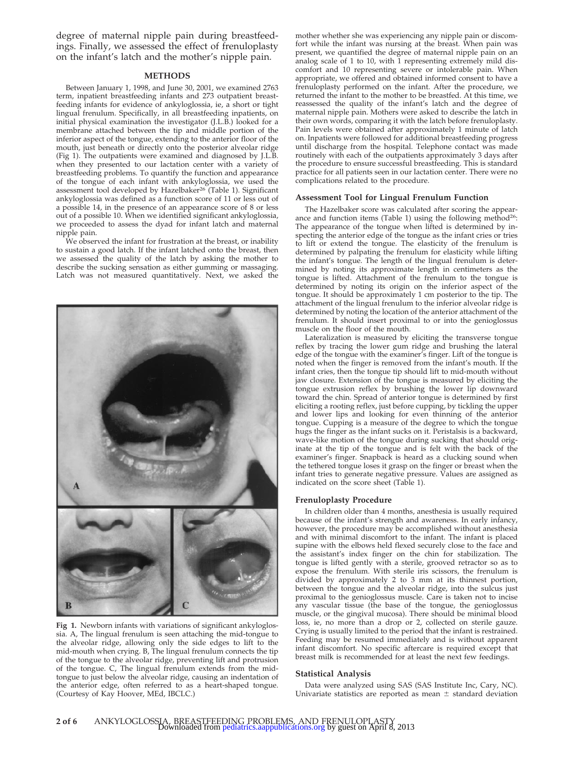degree of maternal nipple pain during breastfeedings. Finally, we assessed the effect of frenuloplasty on the infant's latch and the mother's nipple pain.

#### **METHODS**

Between January 1, 1998, and June 30, 2001, we examined 2763 term, inpatient breastfeeding infants and 273 outpatient breastfeeding infants for evidence of ankyloglossia, ie, a short or tight lingual frenulum. Specifically, in all breastfeeding inpatients, on initial physical examination the investigator (J.L.B.) looked for a membrane attached between the tip and middle portion of the inferior aspect of the tongue, extending to the anterior floor of the mouth, just beneath or directly onto the posterior alveolar ridge (Fig 1). The outpatients were examined and diagnosed by J.L.B. when they presented to our lactation center with a variety of breastfeeding problems. To quantify the function and appearance of the tongue of each infant with ankyloglossia, we used the assessment tool developed by Hazelbaker<sup>26</sup> (Table 1). Significant ankyloglossia was defined as a function score of 11 or less out of a possible 14, in the presence of an appearance score of 8 or less out of a possible 10. When we identified significant ankyloglossia, we proceeded to assess the dyad for infant latch and maternal nipple pain.

We observed the infant for frustration at the breast, or inability to sustain a good latch. If the infant latched onto the breast, then we assessed the quality of the latch by asking the mother to describe the sucking sensation as either gumming or massaging. Latch was not measured quantitatively. Next, we asked the



**Fig 1.** Newborn infants with variations of significant ankyloglossia. A, The lingual frenulum is seen attaching the mid-tongue to the alveolar ridge, allowing only the side edges to lift to the mid-mouth when crying. B, The lingual frenulum connects the tip of the tongue to the alveolar ridge, preventing lift and protrusion of the tongue. C, The lingual frenulum extends from the midtongue to just below the alveolar ridge, causing an indentation of the anterior edge, often referred to as a heart-shaped tongue. (Courtesy of Kay Hoover, MEd, IBCLC.)

mother whether she was experiencing any nipple pain or discomfort while the infant was nursing at the breast. When pain was present, we quantified the degree of maternal nipple pain on an analog scale of 1 to 10, with  $\check{1}$  representing extremely mild discomfort and 10 representing severe or intolerable pain. When appropriate, we offered and obtained informed consent to have a frenuloplasty performed on the infant. After the procedure, we returned the infant to the mother to be breastfed. At this time, we reassessed the quality of the infant's latch and the degree of maternal nipple pain. Mothers were asked to describe the latch in their own words, comparing it with the latch before frenuloplasty. Pain levels were obtained after approximately 1 minute of latch on. Inpatients were followed for additional breastfeeding progress until discharge from the hospital. Telephone contact was made routinely with each of the outpatients approximately 3 days after the procedure to ensure successful breastfeeding. This is standard practice for all patients seen in our lactation center. There were no complications related to the procedure.

#### **Assessment Tool for Lingual Frenulum Function**

The Hazelbaker score was calculated after scoring the appearance and function items (Table 1) using the following method<sup>26</sup>: The appearance of the tongue when lifted is determined by inspecting the anterior edge of the tongue as the infant cries or tries to lift or extend the tongue. The elasticity of the frenulum is determined by palpating the frenulum for elasticity while lifting the infant's tongue. The length of the lingual frenulum is determined by noting its approximate length in centimeters as the tongue is lifted. Attachment of the frenulum to the tongue is determined by noting its origin on the inferior aspect of the tongue. It should be approximately 1 cm posterior to the tip. The attachment of the lingual frenulum to the inferior alveolar ridge is determined by noting the location of the anterior attachment of the frenulum. It should insert proximal to or into the genioglossus muscle on the floor of the mouth.

Lateralization is measured by eliciting the transverse tongue reflex by tracing the lower gum ridge and brushing the lateral edge of the tongue with the examiner's finger. Lift of the tongue is noted when the finger is removed from the infant's mouth. If the infant cries, then the tongue tip should lift to mid-mouth without jaw closure. Extension of the tongue is measured by eliciting the tongue extrusion reflex by brushing the lower lip downward toward the chin. Spread of anterior tongue is determined by first eliciting a rooting reflex, just before cupping, by tickling the upper and lower lips and looking for even thinning of the anterior tongue. Cupping is a measure of the degree to which the tongue hugs the finger as the infant sucks on it. Peristalsis is a backward, wave-like motion of the tongue during sucking that should originate at the tip of the tongue and is felt with the back of the examiner's finger. Snapback is heard as a clucking sound when the tethered tongue loses it grasp on the finger or breast when the infant tries to generate negative pressure. Values are assigned as indicated on the score sheet (Table 1).

#### **Frenuloplasty Procedure**

In children older than 4 months, anesthesia is usually required because of the infant's strength and awareness. In early infancy, however, the procedure may be accomplished without anesthesia and with minimal discomfort to the infant. The infant is placed supine with the elbows held flexed securely close to the face and the assistant's index finger on the chin for stabilization. The tongue is lifted gently with a sterile, grooved retractor so as to expose the frenulum. With sterile iris scissors, the frenulum is divided by approximately 2 to 3 mm at its thinnest portion, between the tongue and the alveolar ridge, into the sulcus just proximal to the genioglossus muscle. Care is taken not to incise any vascular tissue (the base of the tongue, the genioglossus muscle, or the gingival mucosa). There should be minimal blood loss, ie, no more than a drop or 2, collected on sterile gauze. Crying is usually limited to the period that the infant is restrained. Feeding may be resumed immediately and is without apparent infant discomfort. No specific aftercare is required except that breast milk is recommended for at least the next few feedings.

#### **Statistical Analysis**

Data were analyzed using SAS (SAS Institute Inc, Cary, NC). Univariate statistics are reported as mean  $\pm$  standard deviation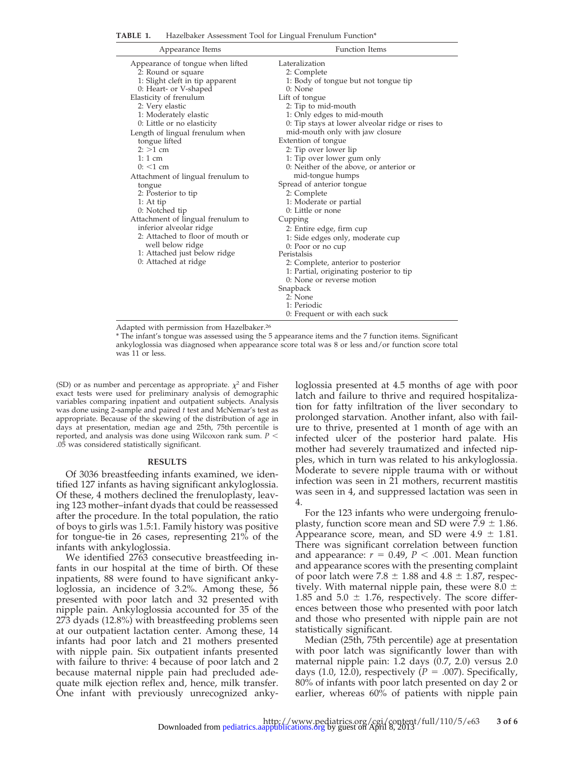**TABLE 1.** Hazelbaker Assessment Tool for Lingual Frenulum Function\*

| Appearance Items                                                                                                                                                                                                                                                                                                                                                                                                                                                 | <b>Function Items</b>                                                                                                                                                                                                                                                                                                                                                                                                                                                                                    |
|------------------------------------------------------------------------------------------------------------------------------------------------------------------------------------------------------------------------------------------------------------------------------------------------------------------------------------------------------------------------------------------------------------------------------------------------------------------|----------------------------------------------------------------------------------------------------------------------------------------------------------------------------------------------------------------------------------------------------------------------------------------------------------------------------------------------------------------------------------------------------------------------------------------------------------------------------------------------------------|
| Appearance of tongue when lifted<br>2: Round or square<br>1: Slight cleft in tip apparent<br>0: Heart- or V-shaped<br>Elasticity of frenulum<br>2: Very elastic<br>1: Moderately elastic<br>0: Little or no elasticity<br>Length of lingual frenulum when<br>tongue lifted<br>$2:$ >1 cm<br>$1:1$ cm<br>$0: \leq 1$ cm<br>Attachment of lingual frenulum to<br>tongue<br>2: Posterior to tip<br>1: At tip<br>0: Notched tip<br>Attachment of lingual frenulum to | ပ<br>Lateralization<br>2: Complete<br>1: Body of tongue but not tongue tip<br>0: None<br>Lift of tongue<br>2: Tip to mid-mouth<br>1: Only edges to mid-mouth<br>0: Tip stays at lower alveolar ridge or rises to<br>mid-mouth only with jaw closure<br>Extention of tongue<br>2: Tip over lower lip<br>1: Tip over lower gum only<br>0: Neither of the above, or anterior or<br>mid-tongue humps<br>Spread of anterior tongue<br>2: Complete<br>1: Moderate or partial<br>$0:$ Little or none<br>Cupping |
| inferior alveolar ridge<br>2: Attached to floor of mouth or<br>well below ridge<br>1: Attached just below ridge<br>0: Attached at ridge                                                                                                                                                                                                                                                                                                                          | 2: Entire edge, firm cup<br>1: Side edges only, moderate cup<br>0: Poor or no cup<br>Peristalsis<br>2: Complete, anterior to posterior<br>1: Partial, originating posterior to tip                                                                                                                                                                                                                                                                                                                       |
|                                                                                                                                                                                                                                                                                                                                                                                                                                                                  | 0: None or reverse motion<br>Snapback<br>2: None<br>1: Periodic<br>0: Frequent or with each suck                                                                                                                                                                                                                                                                                                                                                                                                         |

Adapted with permission from Hazelbaker.26

\* The infant's tongue was assessed using the 5 appearance items and the 7 function items. Significant ankyloglossia was diagnosed when appearance score total was 8 or less and/or function score total was 11 or less.

(SD) or as number and percentage as appropriate.  $\chi^2$  and Fisher exact tests were used for preliminary analysis of demographic variables comparing inpatient and outpatient subjects. Analysis was done using 2-sample and paired *t* test and McNemar's test as appropriate. Because of the skewing of the distribution of age in days at presentation, median age and 25th, 75th percentile is reported, and analysis was done using Wilcoxon rank sum.  $P <$ .05 was considered statistically significant.

#### **RESULTS**

Of 3036 breastfeeding infants examined, we identified 127 infants as having significant ankyloglossia. Of these, 4 mothers declined the frenuloplasty, leaving 123 mother–infant dyads that could be reassessed after the procedure. In the total population, the ratio of boys to girls was 1.5:1. Family history was positive for tongue-tie in 26 cases, representing 21% of the infants with ankyloglossia.

We identified 2763 consecutive breastfeeding infants in our hospital at the time of birth. Of these inpatients, 88 were found to have significant ankyloglossia, an incidence of 3.2%. Among these, 56 presented with poor latch and 32 presented with nipple pain. Ankyloglossia accounted for 35 of the 273 dyads (12.8%) with breastfeeding problems seen at our outpatient lactation center. Among these, 14 infants had poor latch and 21 mothers presented with nipple pain. Six outpatient infants presented with failure to thrive: 4 because of poor latch and 2 because maternal nipple pain had precluded adequate milk ejection reflex and, hence, milk transfer. One infant with previously unrecognized ankyloglossia presented at 4.5 months of age with poor latch and failure to thrive and required hospitalization for fatty infiltration of the liver secondary to prolonged starvation. Another infant, also with failure to thrive, presented at 1 month of age with an infected ulcer of the posterior hard palate. His mother had severely traumatized and infected nipples, which in turn was related to his ankyloglossia. Moderate to severe nipple trauma with or without infection was seen in 21 mothers, recurrent mastitis was seen in 4, and suppressed lactation was seen in 4.

For the 123 infants who were undergoing frenuloplasty, function score mean and SD were  $7.9 \pm 1.86$ . Appearance score, mean, and SD were  $4.9 \pm 1.81$ . There was significant correlation between function and appearance:  $r = 0.49$ ,  $P < .001$ . Mean function and appearance scores with the presenting complaint of poor latch were 7.8  $\pm$  1.88 and 4.8  $\pm$  1.87, respectively. With maternal nipple pain, these were 8.0  $\pm$ 1.85 and 5.0  $\pm$  1.76, respectively. The score differences between those who presented with poor latch and those who presented with nipple pain are not statistically significant.

Median (25th, 75th percentile) age at presentation with poor latch was significantly lower than with maternal nipple pain: 1.2 days (0.7, 2.0) versus 2.0 days (1.0, 12.0), respectively ( $P = .007$ ). Specifically, 80% of infants with poor latch presented on day 2 or earlier, whereas 60% of patients with nipple pain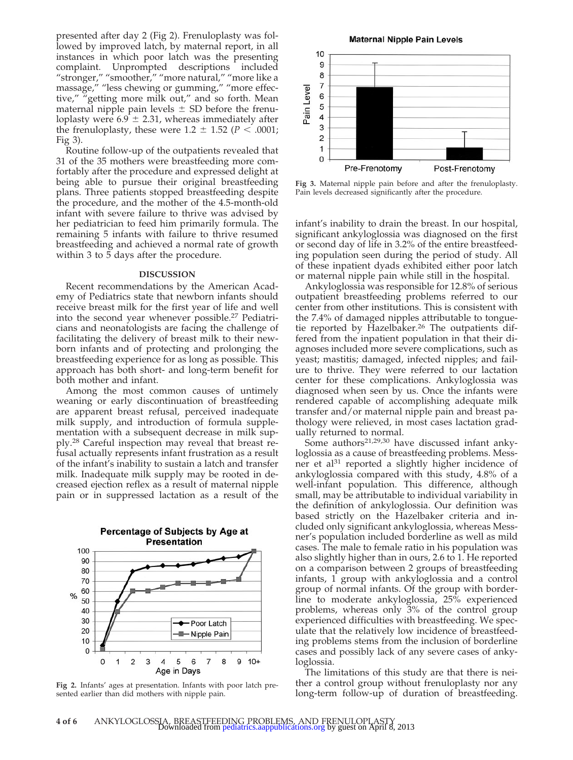presented after day 2 (Fig 2). Frenuloplasty was followed by improved latch, by maternal report, in all instances in which poor latch was the presenting complaint. Unprompted descriptions included "stronger," "smoother," "more natural," "more like a massage," "less chewing or gumming," "more effective," "getting more milk out," and so forth. Mean maternal nipple pain levels  $\pm$  SD before the frenuloplasty were 6.9  $\pm$  2.31, whereas immediately after the frenuloplasty, these were  $1.2 \pm 1.52$  ( $P < .0001$ ; Fig 3).

Routine follow-up of the outpatients revealed that 31 of the 35 mothers were breastfeeding more comfortably after the procedure and expressed delight at being able to pursue their original breastfeeding plans. Three patients stopped breastfeeding despite the procedure, and the mother of the 4.5-month-old infant with severe failure to thrive was advised by her pediatrician to feed him primarily formula. The remaining 5 infants with failure to thrive resumed breastfeeding and achieved a normal rate of growth within 3 to 5 days after the procedure.

#### **DISCUSSION**

Recent recommendations by the American Academy of Pediatrics state that newborn infants should receive breast milk for the first year of life and well into the second year whenever possible.27 Pediatricians and neonatologists are facing the challenge of facilitating the delivery of breast milk to their newborn infants and of protecting and prolonging the breastfeeding experience for as long as possible. This approach has both short- and long-term benefit for both mother and infant.

Among the most common causes of untimely weaning or early discontinuation of breastfeeding are apparent breast refusal, perceived inadequate milk supply, and introduction of formula supplementation with a subsequent decrease in milk supply.28 Careful inspection may reveal that breast refusal actually represents infant frustration as a result of the infant's inability to sustain a latch and transfer milk. Inadequate milk supply may be rooted in decreased ejection reflex as a result of maternal nipple pain or in suppressed lactation as a result of the



sented earlier than did mothers with nipple pain.

**Maternal Nipple Pain Levels** 



**Fig 3.** Maternal nipple pain before and after the frenuloplasty. Pain levels decreased significantly after the procedure.

infant's inability to drain the breast. In our hospital, significant ankyloglossia was diagnosed on the first or second day of life in 3.2% of the entire breastfeeding population seen during the period of study. All of these inpatient dyads exhibited either poor latch or maternal nipple pain while still in the hospital.

Ankyloglossia was responsible for 12.8% of serious outpatient breastfeeding problems referred to our center from other institutions. This is consistent with the 7.4% of damaged nipples attributable to tonguetie reported by Hazelbaker.<sup>26</sup> The outpatients differed from the inpatient population in that their diagnoses included more severe complications, such as yeast; mastitis; damaged, infected nipples; and failure to thrive. They were referred to our lactation center for these complications. Ankyloglossia was diagnosed when seen by us. Once the infants were rendered capable of accomplishing adequate milk transfer and/or maternal nipple pain and breast pathology were relieved, in most cases lactation gradually returned to normal.

Some authors<sup>21,29,30</sup> have discussed infant ankyloglossia as a cause of breastfeeding problems. Messner et al<sup>31</sup> reported a slightly higher incidence of ankyloglossia compared with this study, 4.8% of a well-infant population. This difference, although small, may be attributable to individual variability in the definition of ankyloglossia. Our definition was based strictly on the Hazelbaker criteria and included only significant ankyloglossia, whereas Messner's population included borderline as well as mild cases. The male to female ratio in his population was also slightly higher than in ours, 2.6 to 1. He reported on a comparison between 2 groups of breastfeeding infants, 1 group with ankyloglossia and a control group of normal infants. Of the group with borderline to moderate ankyloglossia, 25% experienced problems, whereas only 3% of the control group experienced difficulties with breastfeeding. We speculate that the relatively low incidence of breastfeeding problems stems from the inclusion of borderline cases and possibly lack of any severe cases of ankyloglossia.

The limitations of this study are that there is neither a control group without frenuloplasty nor any Fig 2. Infants' ages at presentation. Infants with poor latch pre-<br> **Fig 2.** Infants' ages at presentation. Infants with poor latch pre-<br> **Iong-term follow-up of duration of breastfeeding.**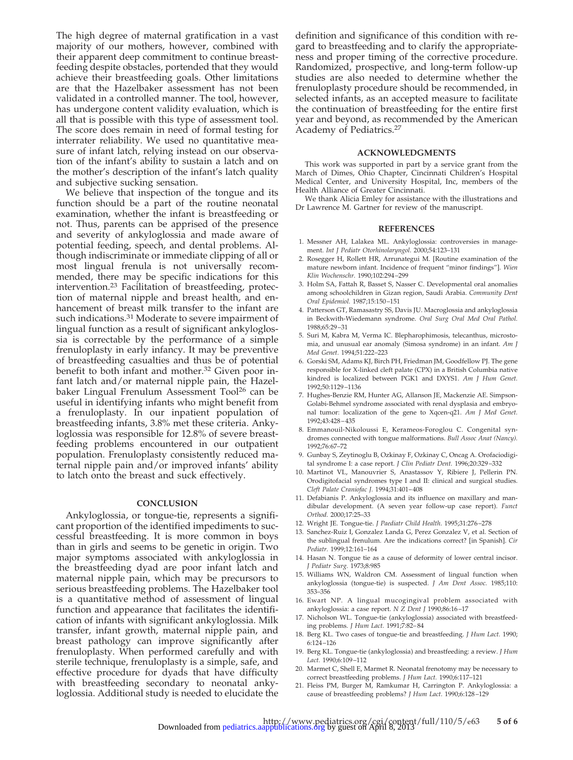The high degree of maternal gratification in a vast majority of our mothers, however, combined with their apparent deep commitment to continue breastfeeding despite obstacles, portended that they would achieve their breastfeeding goals. Other limitations are that the Hazelbaker assessment has not been validated in a controlled manner. The tool, however, has undergone content validity evaluation, which is all that is possible with this type of assessment tool. The score does remain in need of formal testing for interrater reliability. We used no quantitative measure of infant latch, relying instead on our observation of the infant's ability to sustain a latch and on the mother's description of the infant's latch quality and subjective sucking sensation.

We believe that inspection of the tongue and its function should be a part of the routine neonatal examination, whether the infant is breastfeeding or not. Thus, parents can be apprised of the presence and severity of ankyloglossia and made aware of potential feeding, speech, and dental problems. Although indiscriminate or immediate clipping of all or most lingual frenula is not universally recommended, there may be specific indications for this intervention.23 Facilitation of breastfeeding, protection of maternal nipple and breast health, and enhancement of breast milk transfer to the infant are such indications.<sup>31</sup> Moderate to severe impairment of lingual function as a result of significant ankyloglossia is correctable by the performance of a simple frenuloplasty in early infancy. It may be preventive of breastfeeding casualties and thus be of potential benefit to both infant and mother.<sup>32</sup> Given poor infant latch and/or maternal nipple pain, the Hazelbaker Lingual Frenulum Assessment Tool<sup>26</sup> can be useful in identifying infants who might benefit from a frenuloplasty. In our inpatient population of breastfeeding infants, 3.8% met these criteria. Ankyloglossia was responsible for 12.8% of severe breastfeeding problems encountered in our outpatient population. Frenuloplasty consistently reduced maternal nipple pain and/or improved infants' ability to latch onto the breast and suck effectively.

#### **CONCLUSION**

Ankyloglossia, or tongue-tie, represents a significant proportion of the identified impediments to successful breastfeeding. It is more common in boys than in girls and seems to be genetic in origin. Two major symptoms associated with ankyloglossia in the breastfeeding dyad are poor infant latch and maternal nipple pain, which may be precursors to serious breastfeeding problems. The Hazelbaker tool is a quantitative method of assessment of lingual function and appearance that facilitates the identification of infants with significant ankyloglossia. Milk transfer, infant growth, maternal nipple pain, and breast pathology can improve significantly after frenuloplasty. When performed carefully and with sterile technique, frenuloplasty is a simple, safe, and effective procedure for dyads that have difficulty with breastfeeding secondary to neonatal ankyloglossia. Additional study is needed to elucidate the

definition and significance of this condition with regard to breastfeeding and to clarify the appropriateness and proper timing of the corrective procedure. Randomized, prospective, and long-term follow-up studies are also needed to determine whether the frenuloplasty procedure should be recommended, in selected infants, as an accepted measure to facilitate the continuation of breastfeeding for the entire first year and beyond, as recommended by the American Academy of Pediatrics.27

#### **ACKNOWLEDGMENTS**

This work was supported in part by a service grant from the March of Dimes, Ohio Chapter, Cincinnati Children's Hospital Medical Center, and University Hospital, Inc, members of the Health Alliance of Greater Cincinnati.

We thank Alicia Emley for assistance with the illustrations and Dr Lawrence M. Gartner for review of the manuscript.

#### **REFERENCES**

- 1. Messner AH, Lalakea ML. Ankyloglossia: controversies in management. *Int J Pediatr Otorhinolaryngol.* 2000;54:123–131
- 2. Rosegger H, Rollett HR, Arrunategui M. [Routine examination of the mature newborn infant. Incidence of frequent "minor findings"]. *Wien Klin Wochenschr.* 1990;102:294–299
- 3. Holm SA, Fattah R, Basset S, Nasser C. Developmental oral anomalies among schoolchildren in Gizan region, Saudi Arabia. *Community Dent Oral Epidemiol.* 1987;15:150–151
- 4. Patterson GT, Ramasastry SS, Davis JU. Macroglossia and ankyloglossia in Beckwith-Wiedemann syndrome. *Oral Surg Oral Med Oral Pathol.* 1988;65:29–31
- 5. Suri M, Kabra M, Verma IC. Blepharophimosis, telecanthus, microstomia, and unusual ear anomaly (Simosa syndrome) in an infant. *Am J Med Genet.* 1994;51:222–223
- 6. Gorski SM, Adams KJ, Birch PH, Friedman JM, Goodfellow PJ. The gene responsible for X-linked cleft palate (CPX) in a British Columbia native kindred is localized between PGK1 and DXYS1. *Am J Hum Genet.* 1992;50:1129–1136
- 7. Hughes-Benzie RM, Hunter AG, Allanson JE, Mackenzie AE. Simpson-Golabi-Behmel syndrome associated with renal dysplasia and embryonal tumor: localization of the gene to Xqcen-q21. *Am J Med Genet.* 1992;43:428–435
- 8. Emmanouil-Nikoloussi E, Kerameos-Foroglou C. Congenital syndromes connected with tongue malformations. *Bull Assoc Anat (Nancy).* 1992;76:67–72
- 9. Gunbay S, Zeytinoglu B, Ozkinay F, Ozkinay C, Oncag A. Orofaciodigital syndrome I: a case report. *J Clin Pediatr Dent.* 1996;20:329–332
- 10. Martinot VL, Manouvrier S, Anastassov Y, Ribiere J, Pellerin PN. Orodigitofacial syndromes type I and II: clinical and surgical studies. *Cleft Palate Craniofac J.* 1994;31:401–408
- 11. Defabianis P. Ankyloglossia and its influence on maxillary and mandibular development. (A seven year follow-up case report). *Funct Orthod.* 2000;17:25–33
- 12. Wright JE. Tongue-tie. *J Paediatr Child Health*. 1995;31:276–278
- 13. Sanchez-Ruiz I, Gonzalez Landa G, Perez Gonzalez V, et al. Section of the sublingual frenulum. Are the indications correct? [in Spanish]. *Cir Pediatr.* 1999;12:161–164
- 14. Hasan N. Tongue tie as a cause of deformity of lower central incisor. *J Pediatr Surg.* 1973;8:985
- 15. Williams WN, Waldron CM. Assessment of lingual function when ankyloglossia (tongue-tie) is suspected. *J Am Dent Assoc.* 1985;110: 353–356
- 16. Ewart NP. A lingual mucogingival problem associated with ankyloglossia: a case report. *N Z Dent J* 1990;86:16–17
- 17. Nicholson WL. Tongue-tie (ankyloglossia) associated with breastfeeding problems. *J Hum Lact.* 1991;7:82–84
- 18. Berg KL. Two cases of tongue-tie and breastfeeding. *J Hum Lact.* 1990; 6:124–126
- 19. Berg KL. Tongue-tie (ankyloglossia) and breastfeeding: a review. *J Hum Lact.* 1990;6:109–112
- 20. Marmet C, Shell E, Marmet R. Neonatal frenotomy may be necessary to correct breastfeeding problems. *J Hum Lact.* 1990;6:117–121
- 21. Fleiss PM, Burger M, Ramkumar H, Carrington P. Ankyloglossia: a cause of breastfeeding problems? *J Hum Lact.* 1990;6:128–129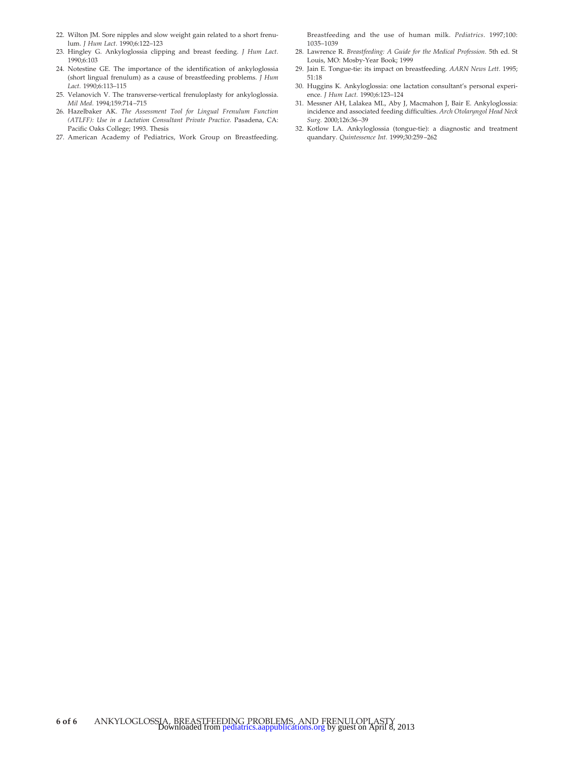- 22. Wilton JM. Sore nipples and slow weight gain related to a short frenulum. *J Hum Lact.* 1990;6:122–123
- 23. Hingley G. Ankyloglossia clipping and breast feeding. *J Hum Lact.* 1990;6:103
- 24. Notestine GE. The importance of the identification of ankyloglossia (short lingual frenulum) as a cause of breastfeeding problems. *J Hum Lact.* 1990;6:113–115
- 25. Velanovich V. The transverse-vertical frenuloplasty for ankyloglossia. *Mil Med.* 1994;159:714–715
- 26. Hazelbaker AK. *The Assessment Tool for Lingual Frenulum Function (ATLFF): Use in a Lactation Consultant Private Practice.* Pasadena, CA: Pacific Oaks College; 1993. Thesis
- 27. American Academy of Pediatrics, Work Group on Breastfeeding.

Breastfeeding and the use of human milk. *Pediatrics*. 1997;100: 1035–1039

- 28. Lawrence R. *Breastfeeding: A Guide for the Medical Profession.* 5th ed. St Louis, MO: Mosby-Year Book; 1999
- 29. Jain E. Tongue-tie: its impact on breastfeeding. *AARN News Lett.* 1995; 51:18
- 30. Huggins K. Ankyloglossia: one lactation consultant's personal experience. *J Hum Lact.* 1990;6:123–124
- 31. Messner AH, Lalakea ML, Aby J, Macmahon J, Bair E. Ankyloglossia: incidence and associated feeding difficulties. *Arch Otolaryngol Head Neck Surg.* 2000;126:36–39
- 32. Kotlow LA. Ankyloglossia (tongue-tie): a diagnostic and treatment quandary. *Quintessence Int.* 1999;30:259–262